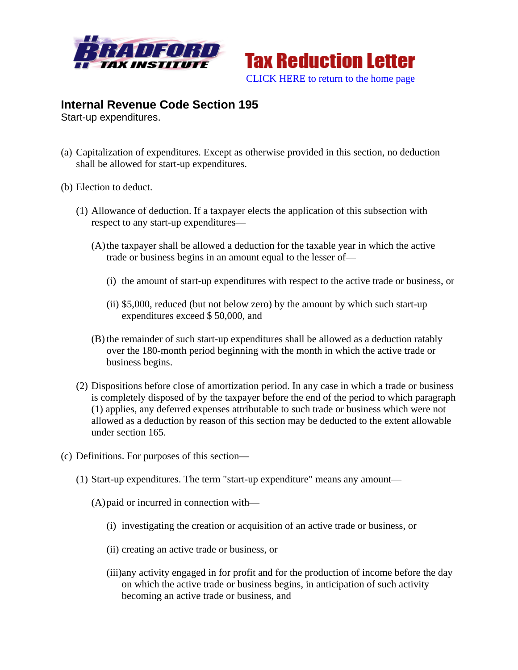



## **Internal Revenue Code Section 195**

Start-up expenditures.

- (a) Capitalization of expenditures. Except as otherwise provided in this section, no deduction shall be allowed for start-up expenditures.
- (b) Election to deduct.
	- (1) Allowance of deduction. If a taxpayer elects the application of this subsection with respect to any start-up expenditures—
		- (A)the taxpayer shall be allowed a deduction for the taxable year in which the active trade or business begins in an amount equal to the lesser of—
			- (i) the amount of start-up expenditures with respect to the active trade or business, or
			- (ii) \$5,000, reduced (but not below zero) by the amount by which such start-up expenditures exceed \$ 50,000, and
		- (B) the remainder of such start-up expenditures shall be allowed as a deduction ratably over the 180-month period beginning with the month in which the active trade or business begins.
	- (2) Dispositions before close of amortization period. In any case in which a trade or business is completely disposed of by the taxpayer before the end of the period to which paragraph (1) applies, any deferred expenses attributable to such trade or business which were not allowed as a deduction by reason of this section may be deducted to the extent allowable under section 165.
- (c) Definitions. For purposes of this section—
	- (1) Start-up expenditures. The term "start-up expenditure" means any amount—
		- (A)paid or incurred in connection with—
			- (i) investigating the creation or acquisition of an active trade or business, or
			- (ii) creating an active trade or business, or
			- (iii)any activity engaged in for profit and for the production of income before the day on which the active trade or business begins, in anticipation of such activity becoming an active trade or business, and